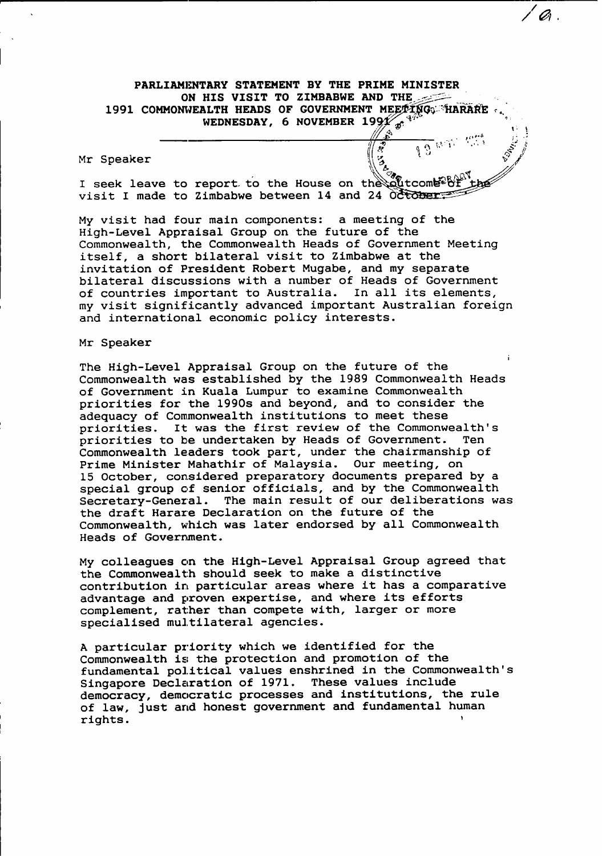# **PARLIAMENTARY STATEMENT BY THE PRIME MINISTER ON HIS VISIT TO ZIMBABWE AND THE 1991 COMMONWEALTH HEADS OF GOVERNMENT MEETING: HARARE** WEDNESDAY, 6 NOVEMBER  $199\frac{1}{40}$

**/0**

J 3 W 3.

## Mr Speaker

seek leave to report to the House on the **Le** visit I made to Zimbabwe between 14 and 24 00 **Cober** 

**My** visit had four main components: a meeting of the High-Level Appraisal Group on the future of the Commonwealth, the Commonwealth Heads of Government Meeting itself, a short bilateral visit to Zimbabwe at the invitation of President Robert Mugabe, and my separate bilateral discussions with a number of Heads of Government of countries important to Australia. In all its elements, my visit significantly advanced important Australian foreign and international economic policy interests.

#### Mr Speaker

The High-Level Appraisal Group on the future of the Commonwealth was established **by** the **1989** Commonwealth Heads of Government in Kuala Lumpur to examine Commonwealth priorities for the 1990s and beyond, and to consider the adequacy of Commonwealth institutions to meet these priorities. It was the first review of the Commonwealth's priorities to be undertaken **by** Heads of Government. Ten Commonwealth leaders took part, under the chairmanship of Prime Minister Mahathir of Malaysia. Our meeting, on October, considered preparatory documents prepared **by** a special group of senior officials, and **by** the Commonwealth Secretary-General. The main result of our deliberations was the draft Harare Declaration on the future of the Commonwealth, which was later endorsed **by** all Commonwealth Heads of Government.

**My** colleagues on the High-Level Appraisal Group agreed that the Commonwealth should seek to make a distinctive contribution in particular areas where it has a comparative advantage and proven expertise, and where its efforts complement, rather than compete with, larger or more specialised multilateral agencies.

**A** particular priority which we identified for the Commonwealth is; the protection and promotion of the fundamental political values enshrined in the Commonwealth's Singapore Declaration of 1971. These values include democracy, democratic processes and institutions, the rule of law, just and honest government and fundamental human rights.I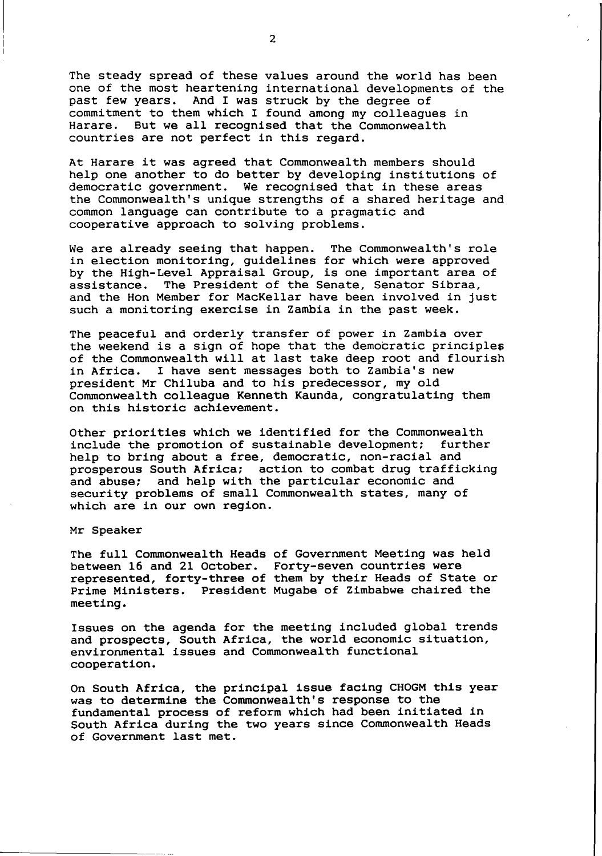The steady spread of these values around the world has been one of the most heartening international developments of the past few years. And I was struck **by** the degree of commitment to them which I found among my colleagues in Harare. But we all recognised that the Commonwealth countries are not perfect in this regard.

At Harare it was agreed that Commonwealth members should help one another to do better **by** developing institutions of democratic government. We recognised that in these areas the Commonwealth's unique strengths of a shared heritage and common language can contribute to a pragmatic and cooperative approach to solving problems.

We are already seeing that happen. The Commonwealth's role in election monitoring, guidelines for which were approved **by** the High-Level Appraisal Group, is one important area of assistance. The President of the Senate, Senator Sibraa, and the Hon Member for MacKellar have been involved in just such a monitoring exercise in Zambia in the past week.

The peaceful and orderly transfer of power in Zambia over the weekend is a sign of hope that the democratic principles of the Commonwealth will at last take deep root and flourish in Africa. I have sent messages both to Zambia's new president Mr Chiluba and to his predecessor, my old Commonwealth colleague Kenneth Kaunda, congratulating them on this historic achievement.

Other priorities which we identified for the Commonwealth include the promotion of sustainable development; further help to bring about a free, democratic, non-racial and prosperous South Africa; action to combat drug trafficking and abuse: and help with the particular economic and security problems of small Commonwealth states, many of which are in our own region.

Mr Speaker

The full Commonwealth Heads of Government Meeting was held between **16** and 21 October. Forty-seven countries were represented, forty-three of them **by** their Heads of State or Prime Ministers. President Mugabe of Zimbabwe chaired the meeting.

Issues on the agenda for the meeting included global trends and prospects, South Africa, the world economic situation, environmental issues and Commonwealth functional cooperation.

On South Africa, the principal issue facing **CHOGM** this year was to determine the Commonwealth's response to the fundamental process of reform which had been initiated in South Africa during the two years since Commonwealth Heads of Government last met.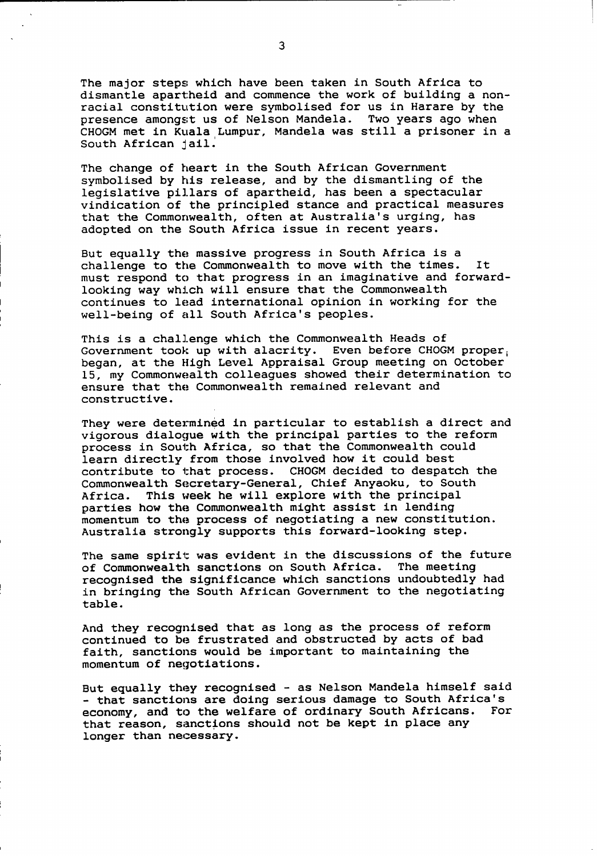The major steps which have been taken in South Africa to dismantle apartheid and commence the work of building a nonracial constitution were symbolised for us in Harare by the presence amongst us of Nelson Mandela. Two years ago when CHOGM met in Kuala Lumpur, Mandela was still a prisoner in a South African jail.

The change of heart in the South African Government symbolised by his release, and by the dismantling of the legislative pillars of apartheid, has been a spectacular vindication of the principled stance and practical measures that the Commonwealth, often at Australia's urging, has adopted on the South Africa issue in recent years.

But equally the massive progress in South Africa is a challenge to the Commonwealth to move with the times. It must respond to that progress in an imaginative and forwardlooking way which will ensure that the Commonwealth continues to lead international opinion in working for the well-being of all South Africa's peoples.

This is a challenge which the Commonwealth Heads of Government took up with alacrity. Even before CHOGM proper, began, at the High Level Appraisal Group meeting on October my Commonwealth colleagues showed their determination to ensure that the Commonwealth remained relevant and constructive.

They were determined in particular to establish a direct and vigorous dialogue with the principal parties to the reform process in South Africa, so that the Commonwealth could learn directly from those involved how it could best contribute to that process. CHOGM decided to despatch the Commonwealth Secretary-General, Chief Anyaoku, to South Africa. This week he will explore with the principal parties how the Commonwealth might assist in lending momentum to the process of negotiating a new constitution. Australia strongly supports this forward-looking step.

The same spirit was evident in the discussions of the future of Commonwealth sanctions on South Africa. The meeting recognised the significance which sanctions undoubtedly had in bringing the South African Government to the negotiating table.

And they recognised that as long as the process of reform continued to be frustrated and obstructed by acts of bad faith, sanctions would be important to maintaining the momentum of negotiations.

But equally they recognised - as Nelson Mandela himself said - that sanctions are doing serious damage to South Africa's<br>economy, and to the welfare of ordinary South Africans. For economy, and to the welfare of ordinary South Africans. that reason, sanctions should not be kept in place any longer than necessary.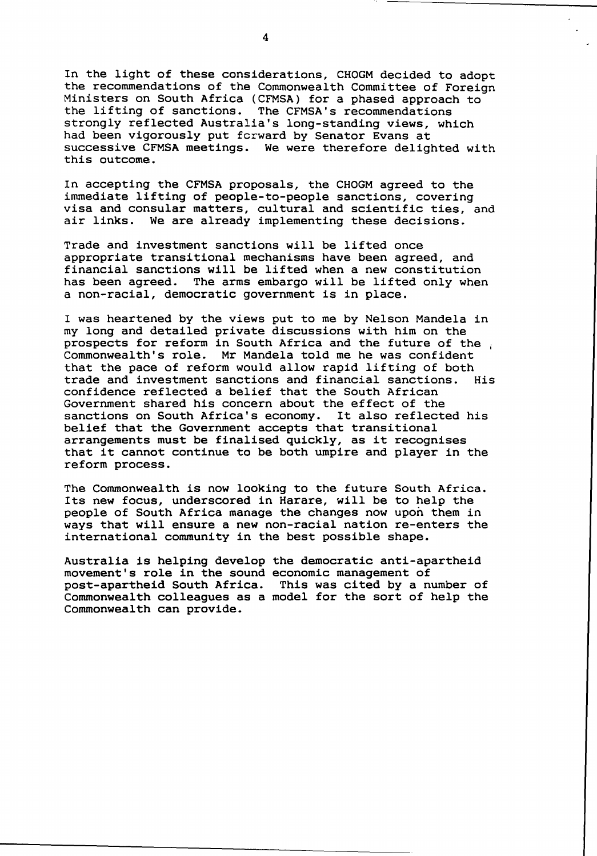In the light of these considerations, CHOGM decided to adopt the recommendations of the Commonwealth Committee of Foreign Ministers on South Africa (CFMSA) for a phased approach to the lifting of sanctions. The CFMSA's recommendations The CFMSA's recommendations. strongly reflected Australia's long-standing views, which had been vigorously put fcrward by Senator Evans at successive CFMSA meetings. We were therefore delighted with this outcome.

In accepting the CFMSA proposals, the CHOGM agreed to the immediate lifting of people-to-people sanctions, covering visa and consular matters, cultural and scientific ties, and air links. We are already implementing these decisions.

Trade and investment sanctions will be lifted once appropriate transitional mechanisms have been agreed, and financial sanctions will be lifted when a new constitution has been agreed. The arms embargo will be lifted only when a non-racial, democratic government is in place.

I was heartened by the views put to me by Nelson Mandela in my long and detailed private discussions with him on the prospects for reform in South Africa and the future of the Commonwealth's role. Mr Mandela told me he was confident that the pace of reform would allow rapid lifting of both trade and investment sanctions and financial sanctions. His confidence reflected a belief that the South African Government shared his concern about the effect of the sanctions on South Africa's economy. It also reflected his belief that the Government accepts that transitional arrangements must be finalised quickly, as it recognises that it cannot continue to be both umpire and player in the reform process.

The Commonwealth is now looking to the future South Africa. Its new focus, underscored in Harare, will be to help the people of South Africa manage the changes now upon them in ways that will ensure a new non-racial nation re-enters the international community in the best possible shape.

Australia is helping develop the democratic anti-apartheid movement's role in the sound economic management of post-apartheid South Africa. This was cited by a number of Commonwealth colleagues as a model for the sort of help the Commonwealth can provide.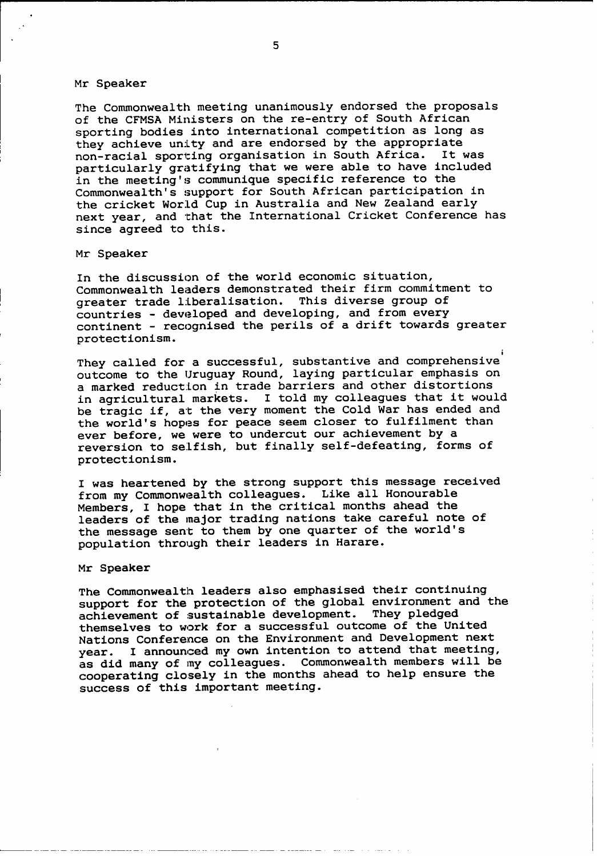#### Mr Speaker

The Commonwealth meeting unanimously endorsed the proposals of the **CFMSA** Ministers on the re-entry of South African sporting bodies into international competition as long as they achieve unity and are endorsed by the appropriate<br>non-racial sporting organisation in South Africa. It was non-racial sporting organisation in South Africa. particularly gratifying that we were able to have included in the meeting's communique specific reference to the Commonwealth's support for South African participation in the cricket World Cup in Australia and New Zealand early next year, and that the International Cricket Conference has since agreed to this.

### Mr Speaker

In the discussion of the world economic situation, Commonwealth leaders demonstrated their firm commitment to greater trade liberalisation. This diverse group of countries - developed and developing, and from every continent - recognised the perils of a drift towards greater protectionism.

They called for a successful, substantive and comprehensive outcome to the Uruguay Round, laying particular emphasis on a marked reduction in trade barriers and other distortions in agricultural markets. I told my colleagues that it would be tragic if, at the very moment the Cold War has ended and the world's hopes for peace seem closer to fulfilment than ever before, we were to undercut our achievement **by** a reversion to selfish, but finally self-defeating, forms of protectionism.

I was heartened **by** the strong support this message received from my Commonwealth colleagues. Like all Honourable Members, I hope that in the critical months ahead the leaders of the major trading nations take careful note of the message sent to them **by** one quarter of the world's population through their leaders in Harare.

Mr Speaker

The Commonwealth leaders also emphasised their continuing support for the protection of the global environment and the<br>achievement of sustainable development. They pledged achievement of sustainable development. themselves to work for a successful outcome of the United Nations Conference on the Environment and Development next year. I announced my own intention to attend that meeting, as did many of my colleagues. Commonwealth members will be cooperating closely in the months ahead to help ensure the success of this important meeting.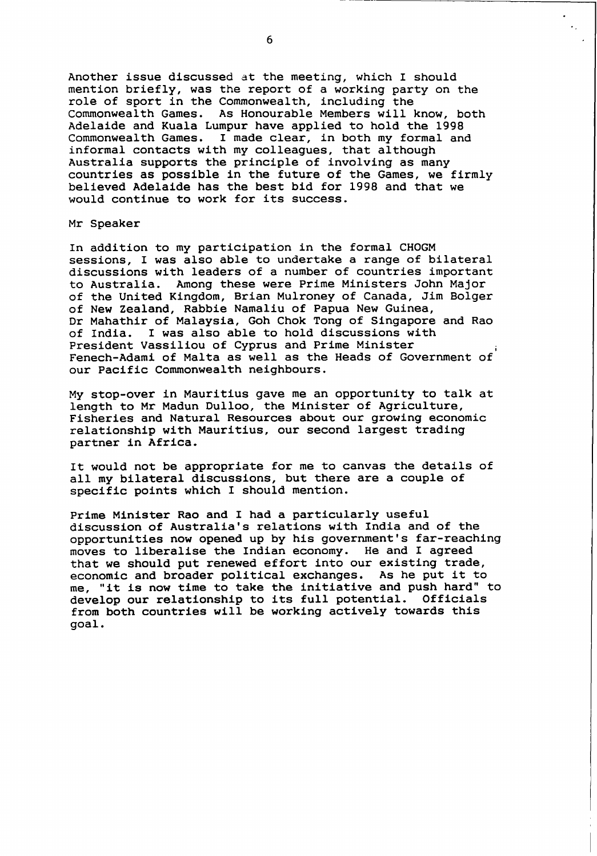Another issue discussed at the meeting, which I should mention briefly, was the report of a working party on the role of sport in the Commonwealth, including the Commonwealth Games. As Honourable Members will know, both Adelaide and Kuala Lumpur have applied to hold the 1998 Commonwealth Games. I made clear, in both my formal and informal contacts with my colleagues, that although Australia supports the principle of involving as many countries as possible in the future of the Games, we firmly believed Adelaide has the best bid for 1998 and that we would continue to work for its success.

Mr Speaker

In addition to my participation in the formal CHOGM sessions, I was also able to undertake a range of bilateral discussions with leaders of a number of countries important to Australia. Among these were Prime Ministers John Major of the United Kingdom, Brian Mulroney of Canada, Jim Bolger of New Zealand, Rabble Namaliu of Papua New Guinea, Dr Mahathir of Malaysia, Goh Chok Tong of Singapore and Rao of India. I was also able to hold discussions with President Vassiliou of Cyprus and Prime Minister Fenech-Adami of Malta as well as the Heads of Government of our Pacific Commonwealth neighbours.

My stop-over in Mauritius gave me an opportunity to talk at length to Mr Madun Dulloo, the Minister of Agriculture, Fisheries and Natural Resources about our growing economic relationship with Mauritius, our second largest trading partner in Africa.

It would not be appropriate for me to canvas the details of all my bilateral discussions, but there are a couple of specific points which I should mention.

Prime Minister Rao and I had a particularly useful discussion of Australia's relations with India and of the opportunities now opened up by his government's far-reaching moves to liberalise the Indian economy. He and I agreed that we should put renewed effort into our existing trade, economic and broader political exchanges. As he put it to me, "it is now time to take the initiative and push hard" to develop our relationship to its full potential. Officials from both countries will be working actively towards this goal.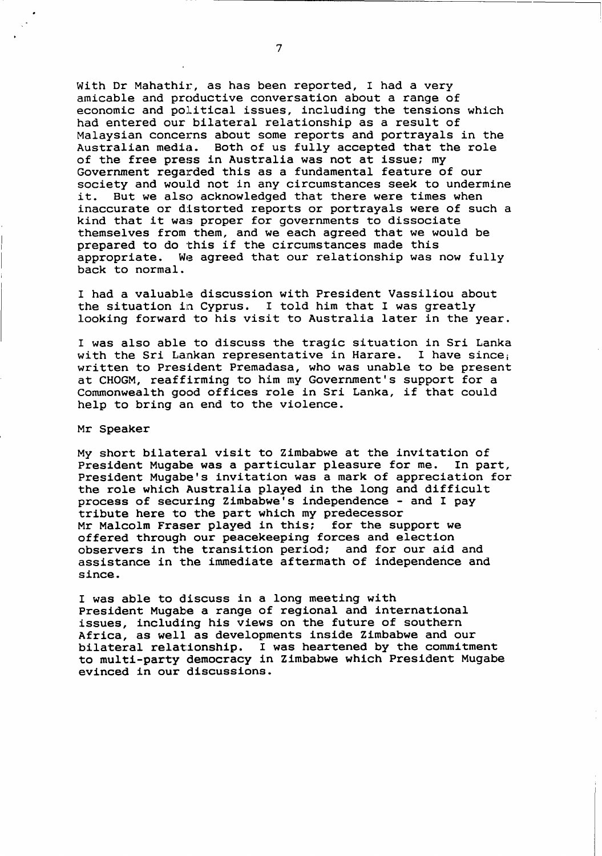With Dr Mahathir, as has been reported, I had a very amicable and productive conversation about a range of economic and political issues, including the tensions which had entered our bilateral relationship as a result of Malaysian concerns about some reports and portrayals in the Australian media. Both of us fully accepted that the role of the free press in Australia was not at issue; my Government regarded this as a fundamental feature of our society and wou:ld not in any circumstances seek to undermine it. But we also acknowledged that there were times when inaccurate or distorted reports or portrayals were of such a kind that it was proper for governments to dissociate themselves from them, and we each agreed that we would be prepared to do this if the circumstances made this appropriate. We agreed that our relationship was now fully back to normal.

I had a valuable discussion with President Vassiliou about the situation in Cyprus. I told him that I was greatly looking forward to his visit to Australia later in the year.

I was also able to discuss the tragic situation in Sri Lanka with the Sri Lankan representative in Harare. I have since; written to President Premadasa, who was unable to be present at **CHOGM,** reaffirming to him my Government's support for a Commonwealth good offices role in Sri Lanka, if that could help to bring an end to the violence.

Mr Speaker

**My** short bilateral visit to Zimbabwe at the invitation of President Mugabe was a particular pleasure for me. In part, President Mugabe's invitation was a mark of appreciation for the role which Australia played in the long and difficult process of securing Zimbabwe's independence - and I pay tribute here to the part which my predecessor Mr Malcolm Fraser played in this; for the support we offered through our peacekeeping forces and election observers in the transition period; and for our aid and assistance in the immediate aftermath of independence and since.

I was able to discuss in a long meeting with President Mugabe a range of regional and international issues, including his views on the future of southern Africa, as well. as developments inside Zimbabwe and our bilateral relationship. I was heartened **by** the commitment to multi-party democracy in Zimbabwe which President Mugabe evinced in our discussions.